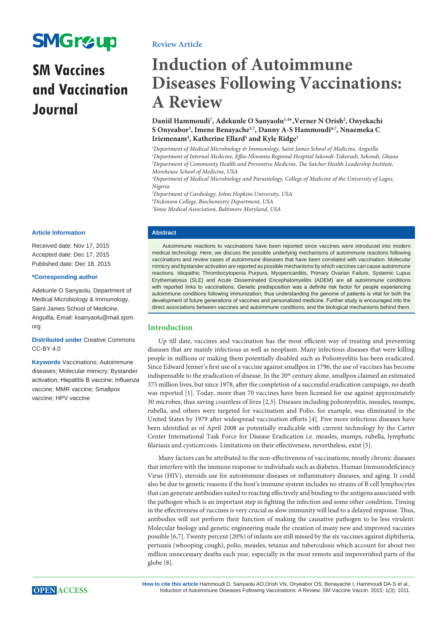# **SMGr&up**

# **SM Vaccines and Vaccination Journal**

**Article Information**

Received date: Nov 17, 2015 Accepted date: Dec 17, 2015 Published date: Dec 18, 2015

#### **\*Corresponding author**

Adekunle O Sanyaolu, Department of Medical Microbiology & Immunology, Saint James School of Medicine, Anguilla, Email: ksanyaolu@mail.sjsm. org

**Distributed under** [Creative Commons](https://creativecommons.org/licenses/by/4.0/)  [CC-BY 4.0](https://creativecommons.org/licenses/by/4.0/)

**Keywords** Vaccinations; Autoimmune diseases; Molecular mimicry; Bystander activation; Hepatitis B vaccine; Influenza vaccine; MMR vaccine; Smallpox vaccine; HPV vaccine

## **Review Article**

# **Induction of Autoimmune Diseases Following Vaccinations: A Review**

## Daniil Hammoudi<sup>7</sup>, Adekunle O Sanyaolu<sup>1,4\*</sup>,Verner N Orish<sup>2</sup>, Onyekachi **S Onyeabor3 , Imene Benayache5,7, Danny A-S Hammoudi6,7, Nnaemeka C**  Iriemenam<sup>4</sup>, Katherine Ellard<sup>1</sup> and Kyle Ridge<sup>1</sup>

 *Department of Medical Microbiology & Immunology, Saint James School of Medicine, Anguilla Department of Internal Medicine, Effia-Nkwanta Regional Hospital Sekondi-Takoradi, Sekondi, Ghana Department of Community Health and Preventive Medicine, The Satcher Health Leadership Institute, Morehouse School of Medicine, USA*

*4 Department of Medical Microbiology and Parasitology, College of Medicine of the University of Lagos, Nigeria*

*5 Department of Cardiology, Johns Hopkins University, USA 6 Dickinson College, Biochemistry Department, USA 7 Sinoe Medical Association, Baltimore Maryland, USA*

#### **Abstract**

Autoimmune reactions to vaccinations have been reported since vaccines were introduced into modern medical technology. Here, we discuss the possible underlying mechanisms of autoimmune reactions following vaccinations and review cases of autoimmune diseases that have been correlated with vaccination. Molecular mimicry and bystander activation are reported as possible mechanisms by which vaccines can cause autoimmune reactions. Idiopathic Thrombocytopenia Purpura, Myopericarditis, Primary Ovarian Failure, Systemic Lupus Erythematosus (SLE) and Acute Disseminated Encephalomyelitis (ADEM) are all autoimmune conditions with reported links to vaccinations. Genetic predisposition was a definite risk factor for people experiencing autoimmune conditions following immunization; thus understanding the genome of patients is vital for both the development of future generations of vaccines and personalized medicine. Further study is encouraged into the direct associations between vaccines and autoimmune conditions, and the biological mechanisms behind them.

## **Introduction**

Up till date, vaccines and vaccination has the most efficient way of treating and preventing diseases that are mainly infectious as well as neoplasm. Many infectious diseases that were killing people in millions or making them potentially disabled such as Poliomyelitis has been eradicated. Since Edward Jenner's first use of a vaccine against smallpox in 1796, the use of vaccines has become indispensable to the eradication of disease. In the  $20<sup>th</sup>$  century alone, smallpox claimed an estimated 375 million lives, but since 1978, after the completion of a successful eradication campaign, no death was reported [1]. Today, more than 70 vaccines have been licensed for use against approximately 30 microbes, thus saving countless of lives [2,3]. Diseases including poliomyelitis, measles, mumps, rubella, and others were targeted for vaccination and Polio, for example, was eliminated in the United States by 1979 after widespread vaccination efforts [4]. Five more infectious diseases have been identified as of April 2008 as potentially eradicable with current technology by the Carter Center International Task Force for Disease Eradication i.e. measles, mumps, rubella, lymphatic filariasis and cysticercosis. Limitations on their effectiveness, nevertheless, exist [5].

Many factors can be attributed to the non-effectiveness of vaccinations; mostly chronic diseases that interfere with the immune response to individuals such as diabetes, Human Immunodeficiency Virus (HIV), steroids use for autoimmune diseases or inflammatory diseases, and aging. It could also be due to genetic reasons if the host's immune system includes no strains of B cell lymphocytes that can generate antibodies suited to reacting effectively and binding to the antigens associated with the pathogen which is an important step in fighting the infection and some other condition. Timing in the effectiveness of vaccines is very crucial as slow immunity will lead to a delayed response. Thus, antibodies will not perform their function of making the causative pathogen to be less virulent. Molecular biology and genetic engineering made the creation of many new and improved vaccines possible [6,7]. Twenty percent (20%) of infants are still missed by the six vaccines against diphtheria, pertussis (whooping cough), polio, measles, tetanus and tuberculosis which account for about two million unnecessary deaths each year, especially in the most remote and impoverished parts of the globe [8].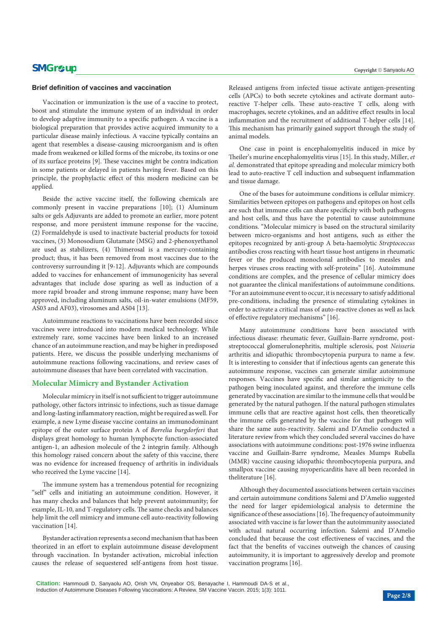#### **Brief definition of vaccines and vaccination**

Vaccination or immunization is the use of a vaccine to protect, boost and stimulate the immune system of an individual in order to develop adaptive immunity to a specific pathogen. A vaccine is a biological preparation that provides active acquired immunity to a particular disease mainly infectious. A vaccine typically contains an agent that resembles a disease-causing microorganism and is often made from weakened or killed forms of the microbe, its toxins or one of its surface proteins [9]. These vaccines might be contra indication in some patients or delayed in patients having fever. Based on this principle, the prophylactic effect of this modern medicine can be applied.

Beside the active vaccine itself, the following chemicals are commonly present in vaccine preparations [10]; (1) Aluminum salts or gels Adjuvants are added to promote an earlier, more potent response, and more persistent immune response for the vaccine, (2) Formaldehyde is used to inactivate bacterial products for toxoid vaccines, (3) Monosodium Glutamate (MSG) and 2-phenoxyethanol are used as stabilizers, (4) Thimerosal is a mercury-containing product; thus, it has been removed from most vaccines due to the controversy surrounding it [9-12]. Adjuvants which are compounds added to vaccines for enhancement of immunogenicity has several advantages that include dose sparing as well as induction of a more rapid broader and strong immune response; many have been approved, including aluminum salts, oil-in-water emulsions (MF59, AS03 and AF03), virosomes and AS04 [13].

Autoimmune reactions to vaccinations have been recorded since vaccines were introduced into modern medical technology. While extremely rare, some vaccines have been linked to an increased chance of an autoimmune reaction, and may be higher in predisposed patients. Here, we discuss the possible underlying mechanisms of autoimmune reactions following vaccinations, and review cases of autoimmune diseases that have been correlated with vaccination.

#### **Molecular Mimicry and Bystander Activation**

Molecular mimicry in itself is not sufficient to trigger autoimmune pathology, other factors intrinsic to infections, such as tissue damage and long-lasting inflammatory reaction, might be required as well. For example, a new Lyme disease vaccine contains an immunodominant epitope of the outer surface protein A of *Borrelia burgdorferi* that displays great homology to human lymphocyte function-associated antigen-1, an adhesion molecule of the 2 integrin family. Although this homology raised concern about the safety of this vaccine, there was no evidence for increased frequency of arthritis in individuals who received the Lyme vaccine [14].

The immune system has a tremendous potential for recognizing "self" cells and initiating an autoimmune condition. However, it has many checks and balances that help prevent autoimmunity; for example, IL-10, and T-regulatory cells. The same checks and balances help limit the cell mimicry and immune cell auto-reactivity following vaccination [14].

Bystander activation represents a second mechanism that has been theorized in an effort to explain autoimmune disease development through vaccination. In bystander activation, microbial infection causes the release of sequestered self-antigens from host tissue.

Released antigens from infected tissue activate antigen-presenting cells (APCs) to both secrete cytokines and activate dormant autoreactive T-helper cells. These auto-reactive T cells, along with macrophages, secrete cytokines, and an additive effect results in local inflammation and the recruitment of additional T-helper cells [14]. This mechanism has primarily gained support through the study of animal models.

One case in point is encephalomyelitis induced in mice by Theiler's murine encephalomyelitis virus [15]. In this study, Miller, *et al.* demonstrated that epitope spreading and molecular mimicry both lead to auto-reactive T cell induction and subsequent inflammation and tissue damage.

One of the bases for autoimmune conditions is cellular mimicry. Similarities between epitopes on pathogens and epitopes on host cells are such that immune cells can share specificity with both pathogens and host cells, and thus have the potential to cause autoimmune conditions. "Molecular mimicry is based on the structural similarity between micro-organisms and host antigens, such as either the epitopes recognized by anti-group A beta-haemolytic *Streptococcus* antibodies cross reacting with heart tissue host antigens in rheumatic fever or the produced monoclonal antibodies to measles and herpes viruses cross reacting with self-proteins" [16]. Autoimmune conditions are complex, and the presence of cellular mimicry does not guarantee the clinical manifestations of autoimmune conditions. "For an autoimmune event to occur, it is necessary to satisfy additional pre-conditions, including the presence of stimulating cytokines in order to activate a critical mass of auto-reactive clones as well as lack of effective regulatory mechanisms" [16].

Many autoimmune conditions have been associated with infectious disease: rheumatic fever, Guillain-Barre syndrome, poststreptococcal glomerulonephritis, multiple sclerosis, post *Neisseria* arthritis and idiopathic thrombocytopenia purpura to name a few. It is interesting to consider that if infectious agents can generate this autoimmune response, vaccines can generate similar autoimmune responses. Vaccines have specific and similar antigenicity to the pathogen being inoculated against, and therefore the immune cells generated by vaccination are similar to the immune cells that would be generated by the natural pathogen. If the natural pathogen stimulates immune cells that are reactive against host cells, then theoretically the immune cells generated by the vaccine for that pathogen will share the same auto-reactivity. Salemi and D'Amelio conducted a literature review from which they concluded several vaccines do have associations with autoimmune conditions: post-1976 swine influenza vaccine and Guillain-Barre syndrome, Measles Mumps Rubella (MMR) vaccine causing idiopathic thrombocytopenia purpura, and smallpox vaccine causing myopericarditis have all been recorded in theliterature [16].

Although they documented associations between certain vaccines and certain autoimmune conditions Salemi and D'Amelio suggested the need for larger epidemiological analysis to determine the significance of these associations [16]. The frequency of autoimmunity associated with vaccine is far lower than the autoimmunity associated with actual natural occurring infection. Salemi and D'Amelio concluded that because the cost effectiveness of vaccines, and the fact that the benefits of vaccines outweigh the chances of causing autoimmunity, it is important to aggressively develop and promote vaccination programs [16].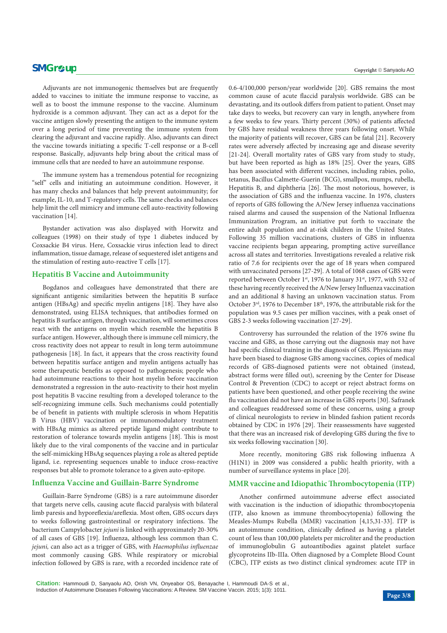### **SMGr** $\mathcal{L}$ **up** Copyright © Sanyaolu AO

Adjuvants are not immunogenic themselves but are frequently added to vaccines to initiate the immune response to vaccine, as well as to boost the immune response to the vaccine. Aluminum hydroxide is a common adjuvant. They can act as a depot for the vaccine antigen slowly presenting the antigen to the immune system over a long period of time preventing the immune system from clearing the adjuvant and vaccine rapidly. Also, adjuvants can direct the vaccine towards initiating a specific T-cell response or a B-cell response. Basically, adjuvants help bring about the critical mass of immune cells that are needed to have an autoimmune response.

The immune system has a tremendous potential for recognizing "self" cells and initiating an autoimmune condition. However, it has many checks and balances that help prevent autoimmunity; for example, IL-10, and T-regulatory cells. The same checks and balances help limit the cell mimicry and immune cell auto-reactivity following vaccination [14].

Bystander activation was also displayed with Horwitz and colleagues (1998) on their study of type 1 diabetes induced by Coxsackie B4 virus. Here, Coxsackie virus infection lead to direct inflammation, tissue damage, release of sequestered islet antigens and the stimulation of resting auto-reactive T cells [17].

### **Hepatitis B Vaccine and Autoimmunity**

Bogdanos and colleagues have demonstrated that there are significant antigenic similarities between the hepatitis B surface antigen (HBsAg) and specific myelin antigens [18]. They have also demonstrated, using ELISA techniques, that antibodies formed on hepatitis B surface antigen, through vaccination, will sometimes cross react with the antigens on myelin which resemble the hepatitis B surface antigen. However, although there is immune cell mimicry, the cross reactivity does not appear to result in long term autoimmune pathogenesis [18]. In fact, it appears that the cross reactivity found between hepatitis surface antigen and myelin antigens actually has some therapeutic benefits as opposed to pathogenesis; people who had autoimmune reactions to their host myelin before vaccination demonstrated a regression in the auto-reactivity to their host myelin post hepatitis B vaccine resulting from a developed tolerance to the self-recognizing immune cells. Such mechanisms could potentially be of benefit in patients with multiple sclerosis in whom Hepatitis B Virus (HBV) vaccination or immunomodulatory treatment with HBsAg mimics as altered peptide ligand might contribute to restoration of tolerance towards myelin antigens [18]. This is most likely due to the viral components of the vaccine and in particular the self-mimicking HBsAg sequences playing a role as altered peptide ligand, i.e. representing sequences unable to induce cross-reactive responses but able to promote tolerance to a given auto-epitope.

#### **Influenza Vaccine and Guillain-Barre Syndrome**

Guillain-Barre Syndrome (GBS) is a rare autoimmune disorder that targets nerve cells, causing acute flaccid paralysis with bilateral limb paresis and hyporeflexia/areflexia. Most often, GBS occurs days to weeks following gastrointestinal or respiratory infections. The bacterium Campylobacter *jejuni* is linked with approximately 20-30% of all cases of GBS [19]. Influenza, although less common than C. *jejuni,* can also act as a trigger of GBS, with *Haemophilus influenzae* most commonly causing GBS. While respiratory or microbial infection followed by GBS is rare, with a recorded incidence rate of 0.6-4/100,000 person/year worldwide [20]. GBS remains the most common cause of acute flaccid paralysis worldwide. GBS can be devastating, and its outlook differs from patient to patient. Onset may take days to weeks, but recovery can vary in length, anywhere from a few weeks to few years. Thirty percent (30%) of patients affected by GBS have residual weakness three years following onset. While the majority of patients will recover, GBS can be fatal [21]. Recovery rates were adversely affected by increasing age and disease severity [21-24]. Overall mortality rates of GBS vary from study to study, but have been reported as high as 18% [25]. Over the years, GBS has been associated with different vaccines, including rabies, polio, tetanus, Bacillus Calmette-Guerin (BCG), smallpox, mumps, rubella, Hepatitis B, and diphtheria [26]. The most notorious, however, is the association of GBS and the influenza vaccine. In 1976, clusters of reports of GBS following the A/New Jersey influenza vaccinations raised alarms and caused the suspension of the National Influenza Immunization Program, an initiative put forth to vaccinate the entire adult population and at-risk children in the United States. Following 35 million vaccinations, clusters of GBS in influenza vaccine recipients began appearing, prompting active surveillance across all states and territories. Investigations revealed a relative risk ratio of 7.6 for recipients over the age of 18 years when compared with unvaccinated persons [27-29]. A total of 1068 cases of GBS were reported between October 1st, 1976 to January 31st, 1977, with 532 of these having recently received the A/New Jersey Influenza vaccination and an additional 8 having an unknown vaccination status. From October 3<sup>rd</sup>, 1976 to December 18<sup>th</sup>, 1976, the attributable risk for the population was 9.5 cases per million vaccines, with a peak onset of GBS 2-3 weeks following vaccination [27-29].

Controversy has surrounded the relation of the 1976 swine flu vaccine and GBS, as those carrying out the diagnosis may not have had specific clinical training in the diagnosis of GBS. Physicians may have been biased to diagnose GBS among vaccines, copies of medical records of GBS-diagnosed patients were not obtained (instead, abstract forms were filled out), screening by the Center for Disease Control & Prevention (CDC) to accept or reject abstract forms on patients have been questioned, and other people receiving the swine flu vaccination did not have an increase in GBS reports [30]. Safranek and colleagues readdressed some of these concerns, using a group of clinical neurologists to review in blinded fashion patient records obtained by CDC in 1976 [29]. Their reassessments have suggested that there was an increased risk of developing GBS during the five to six weeks following vaccination [30].

More recently, monitoring GBS risk following influenza A (H1N1) in 2009 was considered a public health priority, with a number of surveillance systems in place [20].

#### **MMR vaccine and Idiopathic Thrombocytopenia (ITP)**

Another confirmed autoimmune adverse effect associated with vaccination is the induction of idiopathic thrombocytopenia (ITP, also known as immune thrombocytopenia) following the Measles-Mumps Rubella (MMR) vaccination [4,15,31-33]. ITP is an autoimmune condition, clinically defined as having a platelet count of less than 100,000 platelets per microliter and the production of immunoglobulin G autoantibodies against platelet surface glycoproteins IIb-IIIa. Often diagnosed by a Complete Blood Count (CBC), ITP exists as two distinct clinical syndromes: acute ITP in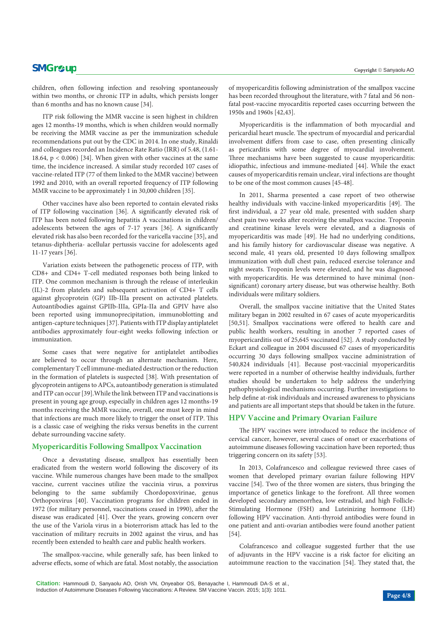children, often following infection and resolving spontaneously within two months, or chronic ITP in adults, which persists longer than 6 months and has no known cause [34].

ITP risk following the MMR vaccine is seen highest in children ages 12 months-19 months, which is when children would normally be receiving the MMR vaccine as per the immunization schedule recommendations put out by the CDC in 2014. In one study, Rinaldi and colleagues recorded an Incidence Rate Ratio (IRR) of 5.48, (1.61- 18.64, p < 0.006) [34]. When given with other vaccines at the same time, the incidence increased. A similar study recorded 107 cases of vaccine-related ITP (77 of them linked to the MMR vaccine) between 1992 and 2010, with an overall reported frequency of ITP following MMR vaccine to be approximately 1 in 30,000 children [35].

Other vaccines have also been reported to contain elevated risks of ITP following vaccination [36]. A significantly elevated risk of ITP has been noted following hepatitis A vaccinations in children/ adolescents between the ages of 7-17 years [36]. A significantly elevated risk has also been recorded for the varicella vaccine [35], and tetanus-diphtheria- acellular pertussis vaccine for adolescents aged 11-17 years [36].

Variation exists between the pathogenetic process of ITP, with CD8+ and CD4+ T-cell mediated responses both being linked to ITP. One common mechanism is through the release of interleukin (IL)-2 from platelets and subsequent activation of CD4+ T cells against glycoprotein (GP) IIb-IIIa present on activated platelets. Autoantibodies against GPIIb-IIIa, GPIa-IIa and GPIV have also been reported using immunoprecipitation, immunoblotting and antigen-capture techniques [37]. Patients with ITP display antiplatelet antibodies approximately four-eight weeks following infection or immunization.

Some cases that were negative for antiplatelet antibodies are believed to occur through an alternate mechanism. Here, complementary T cell immune-mediated destruction or the reduction in the formation of platelets is suspected [38]. With presentation of glycoprotein antigens to APCs, autoantibody generation is stimulated and ITP can occur [39].While the link between ITP and vaccinations is present in young age group, especially in children ages 12 months-19 months receiving the MMR vaccine, overall, one must keep in mind that infections are much more likely to trigger the onset of ITP. This is a classic case of weighing the risks versus benefits in the current debate surrounding vaccine safety.

#### **Myopericarditis Following Smallpox Vaccination**

Once a devastating disease, smallpox has essentially been eradicated from the western world following the discovery of its vaccine. While numerous changes have been made to the smallpox vaccine, current vaccines utilize the vaccinia virus, a poxvirus belonging to the same subfamily Chordopoxvirinae, genus Orthopoxvirus [40]. Vaccination programs for children ended in 1972 (for military personnel, vaccinations ceased in 1990), after the disease was eradicated [41]. Over the years, growing concern over the use of the Variola virus in a bioterrorism attack has led to the vaccination of military recruits in 2002 against the virus, and has recently been extended to health care and public health workers.

The smallpox-vaccine, while generally safe, has been linked to adverse effects, some of which are fatal. Most notably, the association of myopericarditis following administration of the smallpox vaccine has been recorded throughout the literature, with 7 fatal and 56 nonfatal post-vaccine myocarditis reported cases occurring between the 1950s and 1960s [42,43].

Myopericarditis is the inflammation of both myocardial and pericardial heart muscle. The spectrum of myocardial and pericardial involvement differs from case to case, often presenting clinically as pericarditis with some degree of myocardial involvement. Three mechanisms have been suggested to cause myopericarditis: idiopathic, infectious and immune-mediated [44]. While the exact causes of myopericarditis remain unclear, viral infections are thought to be one of the most common causes [45-48].

In 2011, Sharma presented a case report of two otherwise healthy individuals with vaccine-linked myopericarditis [49]. The first individual, a 27 year old male, presented with sudden sharp chest pain two weeks after receiving the smallpox vaccine. Troponin and creatinine kinase levels were elevated, and a diagnosis of myopericarditis was made [49]. He had no underlying conditions, and his family history for cardiovascular disease was negative. A second male, 41 years old, presented 10 days following smallpox immunization with dull chest pain, reduced exercise tolerance and night sweats. Troponin levels were elevated, and he was diagnosed with myopericarditis. He was determined to have minimal (nonsignificant) coronary artery disease, but was otherwise healthy. Both individuals were military soldiers.

Overall, the smallpox vaccine initiative that the United States military began in 2002 resulted in 67 cases of acute myopericarditis [50,51]. Smallpox vaccinations were offered to health care and public health workers, resulting in another 7 reported cases of myopericarditis out of 25,645 vaccinated [52]. A study conducted by Eckart and colleague in 2004 discussed 67 cases of myopericarditis occurring 30 days following smallpox vaccine administration of 540,824 individuals [41]. Because post-vaccinial myopericarditis were reported in a number of otherwise healthy individuals, further studies should be undertaken to help address the underlying pathophysiological mechanisms occurring. Further investigations to help define at-risk individuals and increased awareness to physicians and patients are all important steps that should be taken in the future.

## **HPV Vaccine and Primary Ovarian Failure**

The HPV vaccines were introduced to reduce the incidence of cervical cancer, however, several cases of onset or exacerbations of autoimmune diseases following vaccination have been reported; thus triggering concern on its safety [53].

In 2013, Colafrancesco and colleague reviewed three cases of women that developed primary ovarian failure following HPV vaccine [54]. Two of the three women are sisters, thus bringing the importance of genetics linkage to the forefront. All three women developed secondary amenorrhea, low estradiol, and high Follicle-Stimulating Hormone (FSH) and Luteinizing hormone (LH) following HPV vaccination. Anti-thyroid antibodies were found in one patient and anti-ovarian antibodies were found another patient [54].

Colafrancesco and colleague suggested further that the use of adjuvants in the HPV vaccine is a risk factor for eliciting an autoimmune reaction to the vaccination [54]. They stated that, the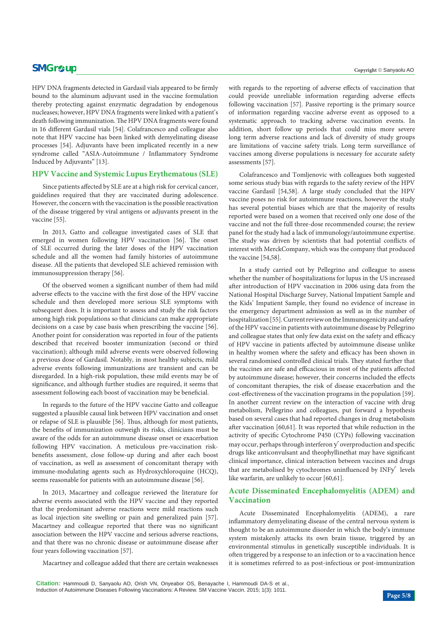## **SMGr** $\mathcal{L}$ **up** Copyright © Sanyaolu AO

HPV DNA fragments detected in Gardasil vials appeared to be firmly bound to the aluminum adjuvant used in the vaccine formulation thereby protecting against enzymatic degradation by endogenous nucleases; however, HPV DNA fragments were linked with a patient's death following immunization. The HPV DNA fragments were found in 16 different Gardasil vials [54]. Colafrancesco and colleague also note that HPV vaccine has been linked with demyelinating disease processes [54]. Adjuvants have been implicated recently in a new syndrome called "ASIA-Autoimmune / Inflammatory Syndrome Induced by Adjuvants" [13].

#### **HPV Vaccine and Systemic Lupus Erythematous (SLE)**

Since patients affected by SLE are at a high risk for cervical cancer, guidelines required that they are vaccinated during adolescence. However, the concern with the vaccination is the possible reactivation of the disease triggered by viral antigens or adjuvants present in the vaccine [55].

In 2013, Gatto and colleague investigated cases of SLE that emerged in women following HPV vaccination [56]. The onset of SLE occurred during the later doses of the HPV vaccination schedule and all the women had family histories of autoimmune disease. All the patients that developed SLE achieved remission with immunosuppression therapy [56].

Of the observed women a significant number of them had mild adverse effects to the vaccine with the first dose of the HPV vaccine schedule and then developed more serious SLE symptoms with subsequent does. It is important to assess and study the risk factors among high risk populations so that clinicians can make appropriate decisions on a case by case basis when prescribing the vaccine [56]. Another point for consideration was reported in four of the patients described that received booster immunization (second or third vaccination); although mild adverse events were observed following a previous dose of Gardasil. Notably, in most healthy subjects, mild adverse events following immunizations are transient and can be disregarded. In a high-risk population, these mild events may be of significance, and although further studies are required, it seems that assessment following each boost of vaccination may be beneficial.

In regards to the future of the HPV vaccine Gatto and colleague suggested a plausible causal link between HPV vaccination and onset or relapse of SLE is plausible [56]. Thus, although for most patients, the benefits of immunization outweigh its risks, clinicians must be aware of the odds for an autoimmune disease onset or exacerbation following HPV vaccination. A meticulous pre-vaccination riskbenefits assessment, close follow-up during and after each boost of vaccination, as well as assessment of concomitant therapy with immune-modulating agents such as Hydroxychloroquine (HCQ), seems reasonable for patients with an autoimmune disease [56].

In 2013, Macartney and colleague reviewed the literature for adverse events associated with the HPV vaccine and they reported that the predominant adverse reactions were mild reactions such as local injection site swelling or pain and generalized pain [57]. Macartney and colleague reported that there was no significant association between the HPV vaccine and serious adverse reactions, and that there was no chronic disease or autoimmune disease after four years following vaccination [57].

Macartney and colleague added that there are certain weaknesses

with regards to the reporting of adverse effects of vaccination that could provide unreliable information regarding adverse effects following vaccination [57]. Passive reporting is the primary source of information regarding vaccine adverse event as opposed to a systematic approach to tracking adverse vaccination events. In addition, short follow up periods that could miss more severe long term adverse reactions and lack of diversity of study groups are limitations of vaccine safety trials. Long term surveillance of vaccines among diverse populations is necessary for accurate safety assessments [57].

Colafrancesco and Tomljenovic with colleagues both suggested some serious study bias with regards to the safety review of the HPV vaccine Gardasil [54,58]. A large study concluded that the HPV vaccine poses no risk for autoimmune reactions, however the study has several potential biases which are that the majority of results reported were based on a women that received only one dose of the vaccine and not the full three-dose recommended course; the review panel for the study had a lack of immunology/autoimmune expertise. The study was driven by scientists that had potential conflicts of interest with MerckCompany, which was the company that produced the vaccine [54,58].

In a study carried out by Pellegrino and colleague to assess whether the number of hospitalizations for lupus in the US increased after introduction of HPV vaccination in 2006 using data from the National Hospital Discharge Survey, National Impatient Sample and the Kids' Impatient Sample, they found no evidence of increase in the emergency department admission as well as in the number of hospitalization [55]. Current review on the Immunogenicity and safety of the HPV vaccine in patients with autoimmune disease by Pellegrino and colleague states that only few data exist on the safety and efficacy of HPV vaccine in patients affected by autoimmune disease unlike in healthy women where the safety and efficacy has been shown in several randomised controlled clinical trials. They stated further that the vaccines are safe and efficacious in most of the patients affected by autoimmune disease; however, their concerns included the effects of concomitant therapies, the risk of disease exacerbation and the cost-effectiveness of the vaccination programs in the population [59]. In another current review on the interaction of vaccine with drug metabolism, Pellegrino and colleagues, put forward a hypothesis based on several cases that had reported changes in drug metabolism after vaccination [60,61]. It was reported that while reduction in the activity of specific Cytochrome P450 (CYPs) following vaccination may occur, perhaps through interferon  $\sqrt{}$  overproduction and specific drugs like anticonvulsant and theophyllinethat may have significant clinical importance, clinical interaction between vaccines and drugs that are metabolised by cytochromes uninfluenced by INFƴ levels like warfarin, are unlikely to occur [60,61].

### **Acute Disseminated Encephalomyelitis (ADEM) and Vaccination**

Acute Disseminated Encephalomyelitis (ADEM), a rare inflammatory demyelinating disease of the central nervous system is thought to be an autoimmune disorder in which the body's immune system mistakenly attacks its own brain tissue, triggered by an environmental stimulus in genetically susceptible individuals. It is often triggered by a response to an infection or to a vaccination hence it is sometimes referred to as post-infectious or post-immunization

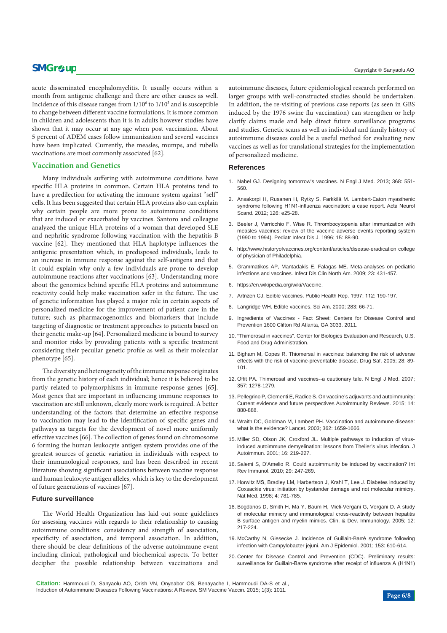## **SMGr** $\mathcal{L}$ **up** Copyright © Sanyaolu AO

acute disseminated encephalomyelitis. It usually occurs within a month from antigenic challenge and there are other causes as well. Incidence of this disease ranges from  $1/10<sup>6</sup>$  to  $1/10<sup>5</sup>$  and is susceptible to change between different vaccine formulations. It is more common in children and adolescents than it is in adults however studies have shown that it may occur at any age when post vaccination. About 5 percent of ADEM cases follow immunization and several vaccines have been implicated. Currently, the measles, mumps, and rubella vaccinations are most commonly associated [62].

#### **Vaccination and Genetics**

Many individuals suffering with autoimmune conditions have specific HLA proteins in common. Certain HLA proteins tend to have a predilection for activating the immune system against "self" cells. It has been suggested that certain HLA proteins also can explain why certain people are more prone to autoimmune conditions that are induced or exacerbated by vaccines. Santoro and colleague analyzed the unique HLA proteins of a woman that developed SLE and nephritic syndrome following vaccination with the hepatitis B vaccine [62]. They mentioned that HLA haplotype influences the antigenic presentation which, in predisposed individuals, leads to an increase in immune response against the self-antigens and that it could explain why only a few individuals are prone to develop autoimmune reactions after vaccinations [63]. Understanding more about the genomics behind specific HLA proteins and autoimmune reactivity could help make vaccination safer in the future. The use of genetic information has played a major role in certain aspects of personalized medicine for the improvement of patient care in the future; such as pharmacogenomics and biomarkers that include targeting of diagnostic or treatment approaches to patients based on their genetic make-up [64]. Personalized medicine is bound to survey and monitor risks by providing patients with a specific treatment considering their peculiar genetic profile as well as their molecular phenotype [65].

The diversity and heterogeneity of the immune response originates from the genetic history of each individual; hence it is believed to be partly related to polymorphisms in immune response genes [65]. Most genes that are important in influencing immune responses to vaccination are still unknown, clearly more work is required. A better understanding of the factors that determine an effective response to vaccination may lead to the identification of specific genes and pathways as targets for the development of novel more uniformly effective vaccines [66]. The collection of genes found on chromosome 6 forming the human leukocyte antigen system provides one of the greatest sources of genetic variation in individuals with respect to their immunological responses, and has been described in recent literature showing significant associations between vaccine response and human leukocyte antigen alleles, which is key to the development of future generations of vaccines [67].

#### **Future surveillance**

The World Health Organization has laid out some guidelines for assessing vaccines with regards to their relationship to causing autoimmune conditions: consistency and strength of association, specificity of association, and temporal association. In addition, there should be clear definitions of the adverse autoimmune event including clinical, pathological and biochemical aspects. To better decipher the possible relationship between vaccinations and

autoimmune diseases, future epidemiological research performed on larger groups with well-constructed studies should be undertaken. In addition, the re-visiting of previous case reports (as seen in GBS induced by the 1976 swine flu vaccination) can strengthen or help clarify claims made and help direct future surveillance programs and studies. Genetic scans as well as individual and family history of autoimmune diseases could be a useful method for evaluating new vaccines as well as for translational strategies for the implementation of personalized medicine.

#### **References**

- 1. [Nabel GJ. Designing tomorrow's vaccines. N Engl J Med. 2013; 368: 551-](http://www.ncbi.nlm.nih.gov/pubmed/23388006) [560.](http://www.ncbi.nlm.nih.gov/pubmed/23388006)
- 2. [Ansakorpi H, Rusanen H, Rytky S, Farkkilä M. Lambert-Eaton myasthenic](http://www.ncbi.nlm.nih.gov/pubmed/22571392)  [syndrome following H1N1-influenza vaccination: a case report. Acta Neurol](http://www.ncbi.nlm.nih.gov/pubmed/22571392)  [Scand. 2012; 126: e25-28.](http://www.ncbi.nlm.nih.gov/pubmed/22571392)
- 3. [Beeler J, Varricchio F, Wise R. Thrombocytopenia after immunization with](http://www.ncbi.nlm.nih.gov/pubmed/8684885)  [measles vaccines: review of the vaccine adverse events reporting system](http://www.ncbi.nlm.nih.gov/pubmed/8684885)  [\(1990 to 1994\). Pediatr Infect Dis J. 1996; 15: 88-90.](http://www.ncbi.nlm.nih.gov/pubmed/8684885)
- 4. [http://www.historyofvaccines.org/content/articles/disease-eradication college](http://www.historyofvaccines.org/content/articles/disease-eradication college of physician of Philadelphia. )  [of physician of Philadelphia.](http://www.historyofvaccines.org/content/articles/disease-eradication college of physician of Philadelphia. )
- 5. [Grammatikos AP, Mantadakis E, Falagas ME. Meta-analyses on pediatric](http://www.ncbi.nlm.nih.gov/pubmed/19393917)  [infections and vaccines. Infect Dis Clin North Am. 2009; 23: 431-457.](http://www.ncbi.nlm.nih.gov/pubmed/19393917)
- 6. <https://en.wikipedia.org/wiki/Vaccine.>
- 7. [Artnzen CJ. Edible vaccines. Public Health Rep. 1997; 112: 190-197.](http://www.ncbi.nlm.nih.gov/pubmed/9182305)
- 8. [Langridge WH. Edible vaccines. Sci Am. 2000; 283: 66-71.](http://www.ncbi.nlm.nih.gov/pubmed/10976468)
- 9. [Ingredients of Vaccines Fact Sheet: Centers for Disease Control and](http://www.cdc.gov/vaccines/vac-gen/additives.htm)  [Prevention 1600 Clifton Rd Atlanta, GA 3033. 2011.](http://www.cdc.gov/vaccines/vac-gen/additives.htm)
- 10. ["Thimerosal in vaccines". Center for Biologics Evaluation and Research, U.S.](http://www.fda.gov/BiologicsBloodVaccines/SafetyAvailability/VaccineSafety/UCM096228)  [Food and Drug Administration.](http://www.fda.gov/BiologicsBloodVaccines/SafetyAvailability/VaccineSafety/UCM096228)
- 11. [Bigham M, Copes R. Thiomersal in vaccines: balancing the risk of adverse](http://www.ncbi.nlm.nih.gov/pubmed/15691220)  [effects with the risk of vaccine-preventable disease. Drug Saf. 2005; 28: 89-](http://www.ncbi.nlm.nih.gov/pubmed/15691220) [101.](http://www.ncbi.nlm.nih.gov/pubmed/15691220)
- 12. [Offit PA. Thimerosal and vaccines--a cautionary tale. N Engl J Med. 2007;](http://www.ncbi.nlm.nih.gov/pubmed/17898096)  [357: 1278-1279.](http://www.ncbi.nlm.nih.gov/pubmed/17898096)
- 13. [Pellegrino P, Clementi E, Radice S. On vaccine's adjuvants and autoimmunity:](http://www.ncbi.nlm.nih.gov/pubmed/26031899)  [Current evidence and future perspectives Autoimmunity Reviews. 2015; 14:](http://www.ncbi.nlm.nih.gov/pubmed/26031899)  [880-888.](http://www.ncbi.nlm.nih.gov/pubmed/26031899)
- 14. [Wraith DC, Goldman M, Lambert PH. Vaccination and autoimmune disease:](http://www.ncbi.nlm.nih.gov/pubmed/14630450)  [what is the evidence? Lancet. 2003; 362: 1659-1666.](http://www.ncbi.nlm.nih.gov/pubmed/14630450)
- 15. [Miller SD, Olson JK, Croxford JL. Multiple pathways to induction of virus](http://www.ncbi.nlm.nih.gov/pubmed/11334486)[induced autoimmune demyelination: lessons from Theiler's virus infection. J](http://www.ncbi.nlm.nih.gov/pubmed/11334486)  [Autoimmun. 2001; 16: 219-227.](http://www.ncbi.nlm.nih.gov/pubmed/11334486)
- 16. [Salemi S, D'Amelio R. Could autoimmunity be induced by vaccination? Int](http://www.ncbi.nlm.nih.gov/pubmed/20521925)  [Rev Immunol. 2010; 29: 247-269.](http://www.ncbi.nlm.nih.gov/pubmed/20521925)
- 17. [Horwitz MS, Bradley LM, Harbertson J, Krahl T, Lee J. Diabetes induced by](http://www.ncbi.nlm.nih.gov/pubmed/9662368)  [Coxsackie virus: initiation by bystander damage and not molecular mimicry.](http://www.ncbi.nlm.nih.gov/pubmed/9662368)  [Nat Med. 1998; 4: 781-785.](http://www.ncbi.nlm.nih.gov/pubmed/9662368)
- 18. [Bogdanos D, Smith H, Ma Y, Baum H, Mieli-Vergani G, Vergani D. A study](http://www.ncbi.nlm.nih.gov/pmc/articles/PMC2275415/)  [of molecular mimicry and immunological cross-reactivity between hepatitis](http://www.ncbi.nlm.nih.gov/pmc/articles/PMC2275415/)  [B surface antigen and myelin mimics. Clin. & Dev. Immunology. 2005; 12:](http://www.ncbi.nlm.nih.gov/pmc/articles/PMC2275415/)  [217-224.](http://www.ncbi.nlm.nih.gov/pmc/articles/PMC2275415/)
- 19. [McCarthy N, Giesecke J. Incidence of Guillain-Barré syndrome following](http://www.ncbi.nlm.nih.gov/pubmed/11257070)  [infection with Campylobacter jejuni. Am J Epidemiol. 2001; 153: 610-614.](http://www.ncbi.nlm.nih.gov/pubmed/11257070)
- 20. [Center for Disease Control and Prevention \(CDC\). Preliminary results:](http://www.cdc.gov/mmwr/preview/mmwrhtml/mm59e0602a1.htm)  [surveillance for Guillain-Barre syndrome after receipt of influenza A \(H1N1\)](http://www.cdc.gov/mmwr/preview/mmwrhtml/mm59e0602a1.htm)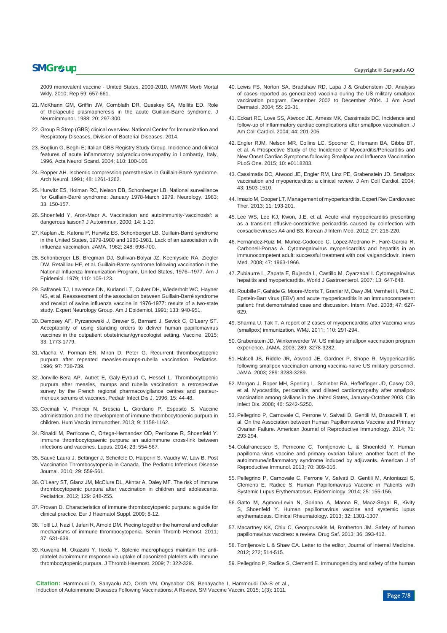## $\mathbf{SMG}$ r $\boldsymbol{\varphi}$ **up**  $\qquad$   $\qquad$   $\qquad$   $\qquad$   $\qquad$   $\qquad$   $\qquad$   $\qquad$   $\qquad$   $\qquad$   $\qquad$   $\qquad$   $\qquad$   $\qquad$   $\qquad$   $\qquad$   $\qquad$   $\qquad$   $\qquad$   $\qquad$   $\qquad$   $\qquad$   $\qquad$   $\qquad$   $\qquad$   $\qquad$   $\qquad$   $\qquad$   $\qquad$   $\qquad$   $\qquad$   $\qquad$   $\qquad$

[2009 monovalent vaccine - United States, 2009-2010. MMWR Morb Mortal](http://www.cdc.gov/mmwr/preview/mmwrhtml/mm59e0602a1.htm)  [Wkly. 2010; Rep 59; 657-661.](http://www.cdc.gov/mmwr/preview/mmwrhtml/mm59e0602a1.htm)

- 21. [McKhann GM, Griffin JW, Cornblath DR, Quaskey SA, Mellits ED. Role](http://www.ncbi.nlm.nih.gov/pubmed/3198752)  [of therapeutic plasmapheresis in the acute Guillain-Barré syndrome. J](http://www.ncbi.nlm.nih.gov/pubmed/3198752)  [Neuroimmunol. 1988; 20: 297-300.](http://www.ncbi.nlm.nih.gov/pubmed/3198752)
- 22. [Group B Strep \(GBS\) clinical overview. National Center for Immunization and](http://www.cdc.gov/groupbstrep/clinicians/clinical-overview.html)  [Respiratory Diseases, Division of Bacterial Diseases. 2014.](http://www.cdc.gov/groupbstrep/clinicians/clinical-overview.html)
- 23. [Bogliun G, Beghi E; Italian GBS Registry Study Group. Incidence and clinical](http://www.ncbi.nlm.nih.gov/pubmed/15242417)  [features of acute inflammatory polyradiculoneuropathy in Lombardy, Italy,](http://www.ncbi.nlm.nih.gov/pubmed/15242417)  [1996. Acta Neurol Scand. 2004; 110: 100-106.](http://www.ncbi.nlm.nih.gov/pubmed/15242417)
- 24. Ropper AH. Ischemic compression paresthesias in Guillain-Barré syndrome. Arch Neurol. 1991; 48: 1261-1262.
- 25. [Hurwitz ES, Holman RC, Nelson DB, Schonberger LB. National surveillance](http://www.ncbi.nlm.nih.gov/pubmed/6681655)  [for Guillain-Barré syndrome: January 1978-March 1979. Neurology. 1983;](http://www.ncbi.nlm.nih.gov/pubmed/6681655)  [33: 150-157.](http://www.ncbi.nlm.nih.gov/pubmed/6681655)
- 26. [Shoenfeld Y, Aron-Maor A. Vaccination and autoimmunity-'vaccinosis': a](http://www.ncbi.nlm.nih.gov/pubmed/10648110)  [dangerous liaison? J Autoimmun. 2000; 14: 1-10.](http://www.ncbi.nlm.nih.gov/pubmed/10648110)
- 27. [Kaplan JE, Katona P, Hurwitz ES, Schonberger LB. Guillain-Barré syndrome](http://www.ncbi.nlm.nih.gov/pubmed/7097920)  [in the United States, 1979-1980 and 1980-1981. Lack of an association with](http://www.ncbi.nlm.nih.gov/pubmed/7097920)  [influenza vaccination. JAMA. 1982; 248: 698-700.](http://www.ncbi.nlm.nih.gov/pubmed/7097920)
- 28. [Schonberger LB, Bregman DJ, Sullivan-Bolyai JZ, Keenlyside RA, Ziegler](http://www.ncbi.nlm.nih.gov/pubmed/463869)  [DW, Retailliau HF, et al. Guillain-Barre syndrome following vaccination in the](http://www.ncbi.nlm.nih.gov/pubmed/463869)  [National Influenza Immunization Program, United States, 1976--1977. Am J](http://www.ncbi.nlm.nih.gov/pubmed/463869)  [Epidemiol. 1979; 110: 105-123.](http://www.ncbi.nlm.nih.gov/pubmed/463869)
- 29. [Safranek TJ, Lawrence DN, Kurland LT, Culver DH, Wiederholt WC, Hayner](http://www.ncbi.nlm.nih.gov/pubmed/1851395)  [NS, et al. Reassessment of the association between Guillain-Barré syndrome](http://www.ncbi.nlm.nih.gov/pubmed/1851395)  [and receipt of swine influenza vaccine in 1976-1977: results of a two-state](http://www.ncbi.nlm.nih.gov/pubmed/1851395)  [study. Expert Neurology Group. Am J Epidemiol. 1991; 133: 940-951.](http://www.ncbi.nlm.nih.gov/pubmed/1851395)
- 30. [Dempsey AF, Pyrzanowski J, Brewer S, Barnard J, Sevick C, O'Leary ST.](http://www.ncbi.nlm.nih.gov/pubmed/25731788)  [Acceptability of using standing orders to deliver human papillomavirus](http://www.ncbi.nlm.nih.gov/pubmed/25731788)  [vaccines in the outpatient obstetrician/gynecologist setting. Vaccine. 2015;](http://www.ncbi.nlm.nih.gov/pubmed/25731788)  [33: 1773-1779.](http://www.ncbi.nlm.nih.gov/pubmed/25731788)
- 31. [Vlacha V, Forman EN, Miron D, Peter G. Recurrent thrombocytopenic](http://www.ncbi.nlm.nih.gov/pubmed/8628619)  [purpura after repeated measles-mumps-rubella vaccination. Pediatrics.](http://www.ncbi.nlm.nih.gov/pubmed/8628619)  [1996; 97: 738-739.](http://www.ncbi.nlm.nih.gov/pubmed/8628619)
- 32. Jonville-Bera AP, Autret E, Galy-Eyraud C, Hessel L. Thrombocytopenic purpura after measles, mumps and rubella vaccination: a retrospective survey by the French regional pharmacovigilance centres and pasteurmerieux serums et vaccines. Pediatr Infect Dis J. 1996; 15: 44-48.
- 33. [Cecinati V, Principi N, Brescia L, Giordano P, Esposito S. Vaccine](http://www.ncbi.nlm.nih.gov/pubmed/23324619)  [administration and the development of immune thrombocytopenic purpura in](http://www.ncbi.nlm.nih.gov/pubmed/23324619)  [children. Hum Vaccin Immunother. 2013; 9: 1158-1162.](http://www.ncbi.nlm.nih.gov/pubmed/23324619)
- 34. [Rinaldi M, Perricone C, Ortega-Hernandez OD, Perricone R, Shoenfeld Y.](http://www.ncbi.nlm.nih.gov/pubmed/24763539)  [Immune thrombocytopaenic purpura: an autoimmune cross-link between](http://www.ncbi.nlm.nih.gov/pubmed/24763539)  [infections and vaccines. Lupus. 2014; 23: 554-567.](http://www.ncbi.nlm.nih.gov/pubmed/24763539)
- 35. [Sauvé Laura J, Bettinger J, Scheifele D, Halperin S, Vaudry W, Law B. Post](http://www.ncbi.nlm.nih.gov/pubmed/20160658)  [Vaccination Thrombocytopenia in Canada. The Pediatric Infectious Disease](http://www.ncbi.nlm.nih.gov/pubmed/20160658)  [Journal. 2010; 29: 559-561.](http://www.ncbi.nlm.nih.gov/pubmed/20160658)
- 36. [O'Leary ST, Glanz JM, McClure DL, Akhtar A, Daley MF. The risk of immune](http://www.ncbi.nlm.nih.gov/pubmed/22232308)  [thrombocytopenic purpura after vaccination in children and adolescents.](http://www.ncbi.nlm.nih.gov/pubmed/22232308)  [Pediatrics. 2012; 129: 248-255.](http://www.ncbi.nlm.nih.gov/pubmed/22232308)
- 37. [Provan D. Characteristics of immune thrombocytopenic purpura: a guide for](http://www.ncbi.nlm.nih.gov/pubmed/19200302)  [clinical practice. Eur J Haematol Suppl. 2009; 8-12.](http://www.ncbi.nlm.nih.gov/pubmed/19200302)
- 38. [Toltl LJ, Nazi I, Jafari R, Arnold DM. Piecing together the humoral and cellular](http://www.ncbi.nlm.nih.gov/pubmed/22102266)  [mechanisms of immune thrombocytopenia. Semin Thromb Hemost. 2011;](http://www.ncbi.nlm.nih.gov/pubmed/22102266)  [37: 631-639.](http://www.ncbi.nlm.nih.gov/pubmed/22102266)
- 39. [Kuwana M, Okazaki Y, Ikeda Y. Splenic macrophages maintain the anti](http://www.ncbi.nlm.nih.gov/pubmed/18826388)[platelet autoimmune response via uptake of opsonized platelets with immune](http://www.ncbi.nlm.nih.gov/pubmed/18826388)  [thrombocytopenic purpura. J Thromb Haemost. 2009; 7: 322-329.](http://www.ncbi.nlm.nih.gov/pubmed/18826388)
- 
- 40. Lewis FS, Norton SA, Bradshaw RD, Lapa J & Grabenstein JD. Analysis of cases reported as generalized vaccinia during the US military smallpox vaccination program, December 2002 to December 2004. J Am Acad Dermatol. 2004; 55: 23-31.
- 41. [Eckart RE, Love SS, Atwood JE, Arness MK, Cassimatis DC. Incidence and](http://www.ncbi.nlm.nih.gov/pubmed/15234435)  [follow-up of inflammatory cardiac complications after smallpox vaccination. J](http://www.ncbi.nlm.nih.gov/pubmed/15234435)  [Am Coll Cardiol. 2004; 44: 201-205.](http://www.ncbi.nlm.nih.gov/pubmed/15234435)
- 42. [Engler RJM, Nelson MR, Collins LC, Spooner C, Hemann BA, Gibbs BT,](http://www.ncbi.nlm.nih.gov/pubmed/25793705)  [et al. A Prospective Study of the Incidence of Myocarditis/Pericarditis and](http://www.ncbi.nlm.nih.gov/pubmed/25793705)  [New Onset Cardiac Symptoms following Smallpox and Influenza Vaccination](http://www.ncbi.nlm.nih.gov/pubmed/25793705)  [PLoS One. 2015; 10: e0118283.](http://www.ncbi.nlm.nih.gov/pubmed/25793705)
- 43. [Cassimatis DC, Atwood JE, Engler RM, Linz PE, Grabenstein JD. Smallpox](http://www.ncbi.nlm.nih.gov/pubmed/15120802)  [vaccination and myopericarditis: a clinical review. J Am Coll Cardiol. 2004;](http://www.ncbi.nlm.nih.gov/pubmed/15120802)  [43: 1503-1510.](http://www.ncbi.nlm.nih.gov/pubmed/15120802)
- 44. [Imazio M, Cooper LT. Management of myopericarditis. Expert Rev Cardiovasc](http://www.ncbi.nlm.nih.gov/pubmed/23405840)  [Ther. 2013; 11: 193-201.](http://www.ncbi.nlm.nih.gov/pubmed/23405840)
- 45. [Lee WS, Lee KJ, Kwon, J.E. et al. Acute viral myopericarditis presenting](http://www.ncbi.nlm.nih.gov/pubmed/22707895)  [as a transient effusive-constrictive pericarditis caused by coinfection with](http://www.ncbi.nlm.nih.gov/pubmed/22707895)  [coxsackieviruses A4 and B3. Korean J Intern Med. 2012; 27: 216-220.](http://www.ncbi.nlm.nih.gov/pubmed/22707895)
- 46. [Fernández-Ruiz M, Muñoz-Codoceo C, López-Medrano F, Faré-García R,](http://www.ncbi.nlm.nih.gov/pubmed/19015608)  [Carbonell-Porras A. Cytomegalovirus myopericarditis and hepatitis in an](http://www.ncbi.nlm.nih.gov/pubmed/19015608)  [immunocompetent adult: successful treatment with oral valganciclovir. Intern](http://www.ncbi.nlm.nih.gov/pubmed/19015608)  [Med. 2008; 47: 1963-1966.](http://www.ncbi.nlm.nih.gov/pubmed/19015608)
- 47. [Zubiaurre L, Zapata E, Bujanda L, Castillo M, Oyarzabal I. Cytomegalovirus](http://www.ncbi.nlm.nih.gov/pubmed/17278238)  [hepatitis and myopericarditis. World J Gastroenterol. 2007; 13: 647-648.](http://www.ncbi.nlm.nih.gov/pubmed/17278238)
- 48. Roubille F, Gahide G, Moore-Morris T, Granier M, Davy JM, Vernhet H, Piot C. Epstein-Barr virus (EBV) and acute myopericarditis in an immunocompetent patient: first demonstrated case and discussion. Intern. Med. 2008; 47: 627- 629.
- 49. [Sharma U, Tak T. A report of 2 cases of myopericarditis after Vaccinia virus](http://www.ncbi.nlm.nih.gov/pubmed/22324207)  [\(smallpox\) immunization. WMJ. 2011; 110: 291-294.](http://www.ncbi.nlm.nih.gov/pubmed/22324207)
- 50. [Grabenstein JD, Winkenwerder W. US military smallpox vaccination program](http://www.ncbi.nlm.nih.gov/pubmed/12824209)  [experience. JAMA. 2003; 289: 3278-3282.](http://www.ncbi.nlm.nih.gov/pubmed/12824209)
- 51. [Halsell JS, Riddle JR, Atwood JE, Gardner P, Shope R. Myopericarditis](http://www.ncbi.nlm.nih.gov/pubmed/12824210)  [following smallpox vaccination among vaccinia-naive US military personnel.](http://www.ncbi.nlm.nih.gov/pubmed/12824210)  [JAMA. 2003; 289: 3283-3289.](http://www.ncbi.nlm.nih.gov/pubmed/12824210)
- 52. [Morgan J, Roper MH, Sperling L, Schieber RA, Heffelfinger JD, Casey CG,](http://www.ncbi.nlm.nih.gov/pubmed/18284365)  [et al. Myocarditis, pericarditis, and dilated cardiomyopathy after smallpox](http://www.ncbi.nlm.nih.gov/pubmed/18284365)  [vaccination among civilians in the United States, January-October 2003. Clin](http://www.ncbi.nlm.nih.gov/pubmed/18284365)  [Infect Dis. 2008; 46: S242-S250.](http://www.ncbi.nlm.nih.gov/pubmed/18284365)
- 53. [Pellegrino P, Carnovale C, Perrone V, Salvati D, Gentili M, Brusadelli T, et](http://onlinelibrary.wiley.com/doi/10.1111/aji.12190/abstract)  [al. On the Association between Human Papillomavirus Vaccine and Primary](http://onlinelibrary.wiley.com/doi/10.1111/aji.12190/abstract)  [Ovarian Failure. American Journal of Reproductive Immunology. 2014; 71:](http://onlinelibrary.wiley.com/doi/10.1111/aji.12190/abstract)  [293-294.](http://onlinelibrary.wiley.com/doi/10.1111/aji.12190/abstract)
- 54. [Colafrancesco S, Perricone C, Tomljenovic L, & Shoenfeld Y. Human](http://www.ncbi.nlm.nih.gov/pubmed/23902317)  [papilloma virus vaccine and primary ovarian failure: another facet of the](http://www.ncbi.nlm.nih.gov/pubmed/23902317)  [autoimmune/inflammatory syndrome induced by adjuvants. American J of](http://www.ncbi.nlm.nih.gov/pubmed/23902317)  [Reproductive Immunol. 2013; 70: 309-316.](http://www.ncbi.nlm.nih.gov/pubmed/23902317)
- 55. [Pellegrino P, Carnovale C, Perrone V, Salvati D, Gentili M, Antoniazzi S,](https://www.researchgate.net/publication/259113800_Human_Papillomavirus_Vaccine_in_Patients_with_Systemic_Lupus_Erythematosus)  [Clementi E, Radice S. Human Papillomavirus Vaccine in Patients with](https://www.researchgate.net/publication/259113800_Human_Papillomavirus_Vaccine_in_Patients_with_Systemic_Lupus_Erythematosus)  [Systemic Lupus Erythematosus. Epidemiology. 2014; 25: 155-156.](https://www.researchgate.net/publication/259113800_Human_Papillomavirus_Vaccine_in_Patients_with_Systemic_Lupus_Erythematosus)
- 56. [Gatto M, Agmon-Levin N, Soriano A, Manna R, Maoz-Segal R, Kivity](http://www.ncbi.nlm.nih.gov/pubmed/23624585)  [S, Shoenfeld Y. Human papillomavirus vaccine and systemic lupus](http://www.ncbi.nlm.nih.gov/pubmed/23624585)  [erythematosus. Clinical Rheumatology. 2013; 32: 1301-1307.](http://www.ncbi.nlm.nih.gov/pubmed/23624585)
- 57. [Macartney KK, Chiu C, Georgousakis M, Brotherton JM. Safety of human](http://www.ncbi.nlm.nih.gov/pubmed/23637071)  [papillomavirus vaccines: a review. Drug Saf. 2013; 36: 393-412.](http://www.ncbi.nlm.nih.gov/pubmed/23637071)
- 58. [Tomljenovic L & Shaw CA. Letter to the editor, Journal of Internal Medicine.](http://sanevax.org/letter-to-the-editor-of-the-journal-of-internal-medicine/)  [2012; 272; 514-515.](http://sanevax.org/letter-to-the-editor-of-the-journal-of-internal-medicine/)
- 59. [Pellegrino P, Radice S, Clementi E. Immunogenicity and safety of the human](http://www.ncbi.nlm.nih.gov/pubmed/26036945)